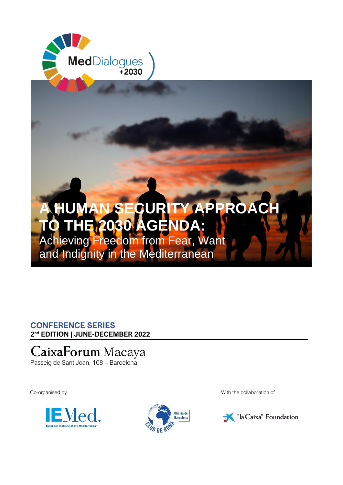

## **CONFERENCE SERIES 2 nd EDITION | JUNE-DECEMBER 2022**

# CaixaForum Macaya

Passeig de Sant Joan, 108 – Barcelona





Co-organised by With the collaboration of

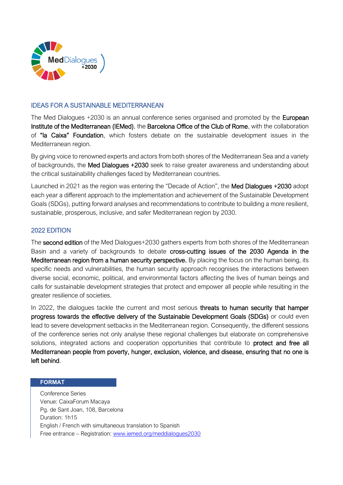

#### IDEAS FOR A SUSTAINABLE MEDITERRANEAN

The Med Dialogues +2030 is an annual conference series organised and promoted by the European Institute of the Mediterranean (IEMed), the Barcelona Office of the Club of Rome, with the collaboration of "la Caixa" Foundation, which fosters debate on the sustainable development issues in the Mediterranean region.

By giving voice to renowned experts and actors from both shores of the Mediterranean Sea and a variety of backgrounds, the Med Dialogues +2030 seek to raise greater awareness and understanding about the critical sustainability challenges faced by Mediterranean countries.

Launched in 2021 as the region was entering the "Decade of Action", the Med Dialogues +2030 adopt each year a different approach to the implementation and achievement of the Sustainable Development Goals (SDGs), putting forward analyses and recommendations to contribute to building a more resilient, sustainable, prosperous, inclusive, and safer Mediterranean region by 2030.

### 2022 EDITION

The second edition of the Med Dialogues+2030 gathers experts from both shores of the Mediterranean Basin and a variety of backgrounds to debate cross-cutting issues of the 2030 Agenda in the Mediterranean region from a human security perspective. By placing the focus on the human being, its specific needs and vulnerabilities, the human security approach recognises the interactions between diverse social, economic, political, and environmental factors affecting the lives of human beings and calls for sustainable development strategies that protect and empower all people while resulting in the greater resilience of societies.

In 2022, the dialogues tackle the current and most serious threats to human security that hamper progress towards the effective delivery of the Sustainable Development Goals (SDGs) or could even lead to severe development setbacks in the Mediterranean region. Consequently, the different sessions of the conference series not only analyse these regional challenges but elaborate on comprehensive solutions, integrated actions and cooperation opportunities that contribute to protect and free all Mediterranean people from poverty, hunger, exclusion, violence, and disease, ensuring that no one is left behind.

#### **FORMAT**

Conference Series Venue: CaixaForum Macaya Pg. de Sant Joan, 108, Barcelona Duration: 1h15 English / French with simultaneous translation to Spanish Free entrance – Registration: [www.iemed.org/meddialogues2030](http://www.iemed.org/meddialogues2030)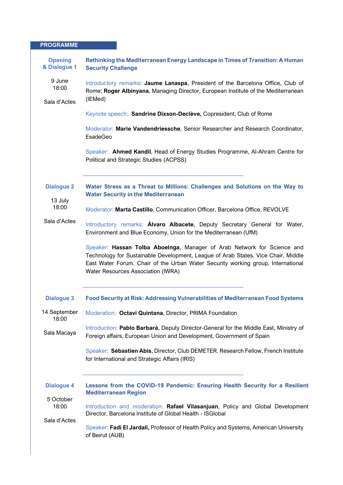| <b>PROGRAMME</b>               |                                                                                                                                                                                                                                                                                        |
|--------------------------------|----------------------------------------------------------------------------------------------------------------------------------------------------------------------------------------------------------------------------------------------------------------------------------------|
| <b>Opening</b><br>& Dialogue 1 | Rethinking the Mediterranean Energy Landscape in Times of Transition: A Human<br><b>Security Challenge</b>                                                                                                                                                                             |
| 9 June<br>18:00                | Introductory remarks: Jaume Lanaspa, President of the Barcelona Office, Club of<br>Rome; Roger Albinyana, Managing Director, European Institute of the Mediterranean<br>(IEMed)                                                                                                        |
| Sala d'Actes                   |                                                                                                                                                                                                                                                                                        |
|                                | Keynote speech: Sandrine Dixson-Declève, Copresident, Club of Rome                                                                                                                                                                                                                     |
|                                | Moderator: Marie Vandendriessche, Senior Researcher and Research Coordinator,<br><b>EsadeGeo</b>                                                                                                                                                                                       |
|                                | Speaker: Ahmed Kandil, Head of Energy Studies Programme, Al-Ahram Centre for<br>Political and Strategic Studies (ACPSS)                                                                                                                                                                |
| <b>Dialogue 2</b><br>13 July   | Water Stress as a Threat to Millions: Challenges and Solutions on the Way to<br><b>Water Security in the Mediterranean</b>                                                                                                                                                             |
| 18:00                          | Moderator: Marta Castillo, Communication Officer, Barcelona Office, REVOLVE                                                                                                                                                                                                            |
| Sala d'Actes                   | Introductory remarks: <b>Álvaro Albacete</b> , Deputy Secretary General for Water,<br>Environment and Blue Economy, Union for the Mediterranean (UfM)                                                                                                                                  |
|                                | Speaker: Hassan Tolba Aboelnga, Manager of Arab Network for Science and<br>Technology for Sustainable Development, League of Arab States. Vice Chair, Middle<br>East Water Forum. Chair of the Urban Water Security working group, International<br>Water Resources Association (IWRA) |
| <b>Dialogue 3</b>              | <b>Food Security at Risk: Addressing Vulnerabilities of Mediterranean Food Systems</b>                                                                                                                                                                                                 |
| 14 September<br>18:00          | Moderation: Octavi Quintana, Director, PRIMA Foundation                                                                                                                                                                                                                                |
| Sala Macaya                    | Introduction: Pablo Barbará, Deputy Director-General for the Middle East, Ministry of<br>Foreign affairs, European Union and Development, Government of Spain                                                                                                                          |
|                                | Speaker: Sébastien Abis, Director, Club DEMETER. Research Fellow, French Institute<br>for International and Strategic Affairs (IRIS)                                                                                                                                                   |
| <b>Dialogue 4</b>              | Lessons from the COVID-19 Pandemic: Ensuring Health Security for a Resilient<br><b>Mediterranean Region</b>                                                                                                                                                                            |
| 5 October<br>18:00             | Introduction and moderation: Rafael Vilasanjuan, Policy and Global Development<br>Director, Barcelona Institute of Global Health - ISGlobal                                                                                                                                            |
| Sala d'Actes                   | Speaker: Fadi El Jardali, Professor of Health Policy and Systems, American University<br>of Beirut (AUB)                                                                                                                                                                               |